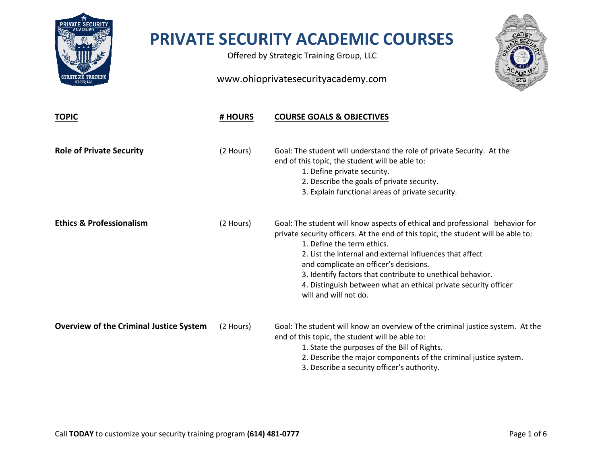

Offered by Strategic Training Group, LLC



| <b>TOPIC</b>                                   | # HOURS   | <b>COURSE GOALS &amp; OBJECTIVES</b>                                                                                                                                                                                                                                                                                                                                                                                                                            |
|------------------------------------------------|-----------|-----------------------------------------------------------------------------------------------------------------------------------------------------------------------------------------------------------------------------------------------------------------------------------------------------------------------------------------------------------------------------------------------------------------------------------------------------------------|
| <b>Role of Private Security</b>                | (2 Hours) | Goal: The student will understand the role of private Security. At the<br>end of this topic, the student will be able to:<br>1. Define private security.<br>2. Describe the goals of private security.<br>3. Explain functional areas of private security.                                                                                                                                                                                                      |
| <b>Ethics &amp; Professionalism</b>            | (2 Hours) | Goal: The student will know aspects of ethical and professional behavior for<br>private security officers. At the end of this topic, the student will be able to:<br>1. Define the term ethics.<br>2. List the internal and external influences that affect<br>and complicate an officer's decisions.<br>3. Identify factors that contribute to unethical behavior.<br>4. Distinguish between what an ethical private security officer<br>will and will not do. |
| <b>Overview of the Criminal Justice System</b> | (2 Hours) | Goal: The student will know an overview of the criminal justice system. At the<br>end of this topic, the student will be able to:<br>1. State the purposes of the Bill of Rights.<br>2. Describe the major components of the criminal justice system.<br>3. Describe a security officer's authority.                                                                                                                                                            |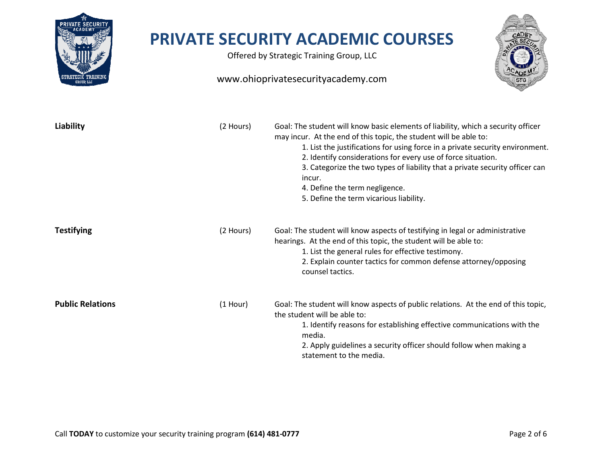

Offered by Strategic Training Group, LLC



| Liability               | (2 Hours)  | Goal: The student will know basic elements of liability, which a security officer<br>may incur. At the end of this topic, the student will be able to:<br>1. List the justifications for using force in a private security environment.<br>2. Identify considerations for every use of force situation.<br>3. Categorize the two types of liability that a private security officer can<br>incur.<br>4. Define the term negligence.<br>5. Define the term vicarious liability. |
|-------------------------|------------|--------------------------------------------------------------------------------------------------------------------------------------------------------------------------------------------------------------------------------------------------------------------------------------------------------------------------------------------------------------------------------------------------------------------------------------------------------------------------------|
| <b>Testifying</b>       | (2 Hours)  | Goal: The student will know aspects of testifying in legal or administrative<br>hearings. At the end of this topic, the student will be able to:<br>1. List the general rules for effective testimony.<br>2. Explain counter tactics for common defense attorney/opposing<br>counsel tactics.                                                                                                                                                                                  |
| <b>Public Relations</b> | $(1$ Hour) | Goal: The student will know aspects of public relations. At the end of this topic,<br>the student will be able to:<br>1. Identify reasons for establishing effective communications with the<br>media.<br>2. Apply guidelines a security officer should follow when making a<br>statement to the media.                                                                                                                                                                        |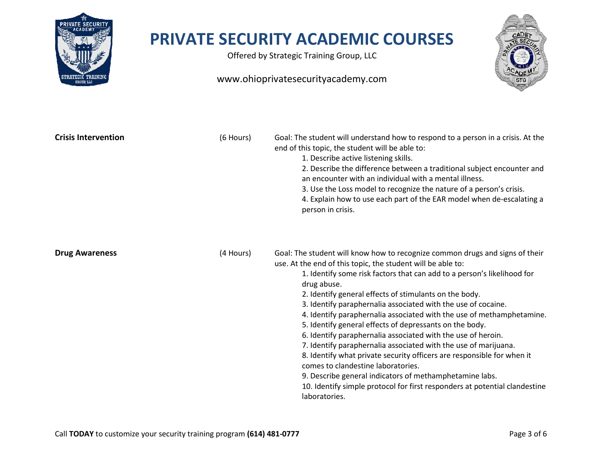

Offered by Strategic Training Group, LLC



| <b>Crisis Intervention</b> | (6 Hours) | Goal: The student will understand how to respond to a person in a crisis. At the<br>end of this topic, the student will be able to:<br>1. Describe active listening skills.<br>2. Describe the difference between a traditional subject encounter and<br>an encounter with an individual with a mental illness.<br>3. Use the Loss model to recognize the nature of a person's crisis.<br>4. Explain how to use each part of the EAR model when de-escalating a<br>person in crisis.                                                                                                                                                                                                                                                                                                                                                                                                                              |
|----------------------------|-----------|-------------------------------------------------------------------------------------------------------------------------------------------------------------------------------------------------------------------------------------------------------------------------------------------------------------------------------------------------------------------------------------------------------------------------------------------------------------------------------------------------------------------------------------------------------------------------------------------------------------------------------------------------------------------------------------------------------------------------------------------------------------------------------------------------------------------------------------------------------------------------------------------------------------------|
| <b>Drug Awareness</b>      | (4 Hours) | Goal: The student will know how to recognize common drugs and signs of their<br>use. At the end of this topic, the student will be able to:<br>1. Identify some risk factors that can add to a person's likelihood for<br>drug abuse.<br>2. Identify general effects of stimulants on the body.<br>3. Identify paraphernalia associated with the use of cocaine.<br>4. Identify paraphernalia associated with the use of methamphetamine.<br>5. Identify general effects of depressants on the body.<br>6. Identify paraphernalia associated with the use of heroin.<br>7. Identify paraphernalia associated with the use of marijuana.<br>8. Identify what private security officers are responsible for when it<br>comes to clandestine laboratories.<br>9. Describe general indicators of methamphetamine labs.<br>10. Identify simple protocol for first responders at potential clandestine<br>laboratories. |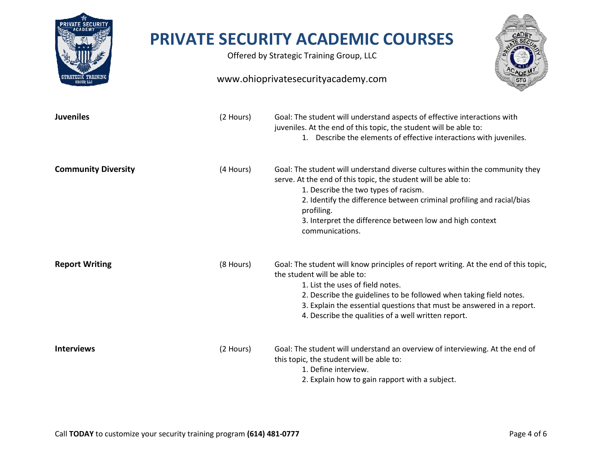

Offered by Strategic Training Group, LLC



| <b>Juveniles</b>           | (2 Hours) | Goal: The student will understand aspects of effective interactions with<br>juveniles. At the end of this topic, the student will be able to:<br>1. Describe the elements of effective interactions with juveniles.                                                                                                                                           |
|----------------------------|-----------|---------------------------------------------------------------------------------------------------------------------------------------------------------------------------------------------------------------------------------------------------------------------------------------------------------------------------------------------------------------|
| <b>Community Diversity</b> | (4 Hours) | Goal: The student will understand diverse cultures within the community they<br>serve. At the end of this topic, the student will be able to:<br>1. Describe the two types of racism.<br>2. Identify the difference between criminal profiling and racial/bias<br>profiling.<br>3. Interpret the difference between low and high context<br>communications.   |
| <b>Report Writing</b>      | (8 Hours) | Goal: The student will know principles of report writing. At the end of this topic,<br>the student will be able to:<br>1. List the uses of field notes.<br>2. Describe the guidelines to be followed when taking field notes.<br>3. Explain the essential questions that must be answered in a report.<br>4. Describe the qualities of a well written report. |
| <b>Interviews</b>          | (2 Hours) | Goal: The student will understand an overview of interviewing. At the end of<br>this topic, the student will be able to:<br>1. Define interview.<br>2. Explain how to gain rapport with a subject.                                                                                                                                                            |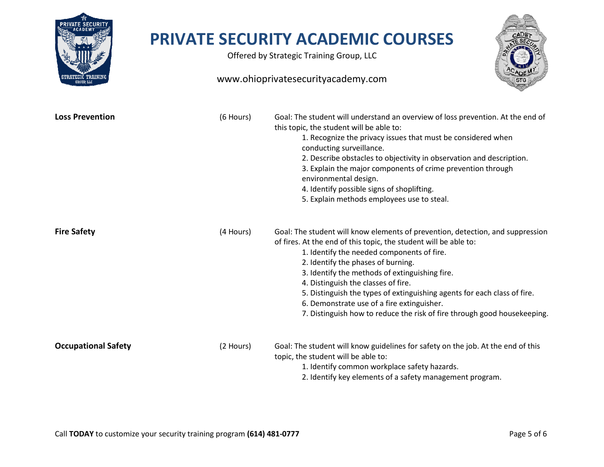

Offered by Strategic Training Group, LLC



| <b>Loss Prevention</b>     | (6 Hours) | Goal: The student will understand an overview of loss prevention. At the end of<br>this topic, the student will be able to:<br>1. Recognize the privacy issues that must be considered when<br>conducting surveillance.<br>2. Describe obstacles to objectivity in observation and description.<br>3. Explain the major components of crime prevention through<br>environmental design.<br>4. Identify possible signs of shoplifting.<br>5. Explain methods employees use to steal.                                                   |
|----------------------------|-----------|---------------------------------------------------------------------------------------------------------------------------------------------------------------------------------------------------------------------------------------------------------------------------------------------------------------------------------------------------------------------------------------------------------------------------------------------------------------------------------------------------------------------------------------|
| <b>Fire Safety</b>         | (4 Hours) | Goal: The student will know elements of prevention, detection, and suppression<br>of fires. At the end of this topic, the student will be able to:<br>1. Identify the needed components of fire.<br>2. Identify the phases of burning.<br>3. Identify the methods of extinguishing fire.<br>4. Distinguish the classes of fire.<br>5. Distinguish the types of extinguishing agents for each class of fire.<br>6. Demonstrate use of a fire extinguisher.<br>7. Distinguish how to reduce the risk of fire through good housekeeping. |
| <b>Occupational Safety</b> | (2 Hours) | Goal: The student will know guidelines for safety on the job. At the end of this<br>topic, the student will be able to:<br>1. Identify common workplace safety hazards.<br>2. Identify key elements of a safety management program.                                                                                                                                                                                                                                                                                                   |